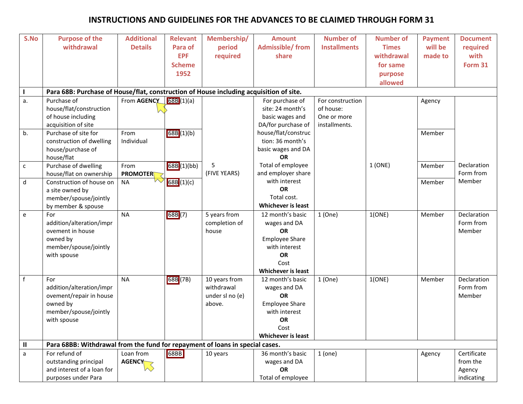## **INSTRUCTIONS AND GUIDELINES FOR THE ADVANCES TO BE CLAIMED THROUGH FORM 31**

| S.No         | <b>Purpose of the</b>                                                                  | <b>Additional</b> | <b>Relevant</b> | Membership/     | <b>Amount</b>                          | <b>Number of</b>    | <b>Number of</b>   | <b>Payment</b> | <b>Document</b>     |
|--------------|----------------------------------------------------------------------------------------|-------------------|-----------------|-----------------|----------------------------------------|---------------------|--------------------|----------------|---------------------|
|              | withdrawal                                                                             | <b>Details</b>    | Para of         | period          | <b>Admissible/from</b>                 | <b>Installments</b> | <b>Times</b>       | will be        | required            |
|              |                                                                                        |                   | <b>EPF</b>      | required        | share                                  |                     | withdrawal         | made to        | with                |
|              |                                                                                        |                   | <b>Scheme</b>   |                 |                                        |                     | for same           |                | Form 31             |
|              |                                                                                        |                   | 1952            |                 |                                        |                     |                    |                |                     |
|              |                                                                                        |                   |                 |                 |                                        |                     | purpose<br>allowed |                |                     |
|              |                                                                                        |                   |                 |                 |                                        |                     |                    |                |                     |
| ı            | Para 68B: Purchase of House/flat, construction of House including acquisition of site. |                   |                 |                 |                                        |                     |                    |                |                     |
| a.           | Purchase of                                                                            | From AGENCY       | 68B(1)(a)       |                 | For purchase of                        | For construction    |                    | Agency         |                     |
|              | house/flat/construction                                                                |                   |                 |                 | site: 24 month's                       | of house:           |                    |                |                     |
|              | of house including                                                                     |                   |                 |                 | basic wages and                        | One or more         |                    |                |                     |
|              | acquisition of site                                                                    |                   |                 |                 | DA/for purchase of                     | installments.       |                    |                |                     |
| b.           | Purchase of site for                                                                   | From              | 68B (1)(b)      |                 | house/flat/construc                    |                     |                    | Member         |                     |
|              | construction of dwelling                                                               | Individual        |                 |                 | tion: 36 month's                       |                     |                    |                |                     |
|              | house/purchase of                                                                      |                   |                 |                 | basic wages and DA<br><b>OR</b>        |                     |                    |                |                     |
|              | house/flat<br>Purchase of dwelling                                                     |                   |                 | 5               | Total of employee                      |                     | 1(ONE)             |                | Declaration         |
| $\mathsf{C}$ |                                                                                        | From              | 68B (1)(bb)     | (FIVE YEARS)    | and employer share                     |                     |                    | Member         | Form from           |
|              | house/flat on ownership<br>Construction of house on                                    | <b>PROMOTER</b>   |                 |                 | with interest                          |                     |                    |                | Member              |
| d            |                                                                                        | <b>NA</b>         | 68B (1)(c)      |                 | OR                                     |                     |                    | Member         |                     |
|              | a site owned by                                                                        |                   |                 |                 | Total cost.                            |                     |                    |                |                     |
|              | member/spouse/jointly                                                                  |                   |                 |                 | <b>Whichever is least</b>              |                     |                    |                |                     |
|              | by member & spouse                                                                     | <b>NA</b>         |                 |                 |                                        |                     |                    |                |                     |
| e            | For<br>addition/alteration/impr                                                        |                   | 68B (7)         | 5 years from    | 12 month's basic                       | 1(One)              | 1(ONE)             | Member         | Declaration         |
|              | ovement in house                                                                       |                   |                 | completion of   | wages and DA<br>OR                     |                     |                    |                | Form from<br>Member |
|              |                                                                                        |                   |                 | house           |                                        |                     |                    |                |                     |
|              | owned by<br>member/spouse/jointly                                                      |                   |                 |                 | <b>Employee Share</b><br>with interest |                     |                    |                |                     |
|              |                                                                                        |                   |                 |                 | <b>OR</b>                              |                     |                    |                |                     |
|              | with spouse                                                                            |                   |                 |                 |                                        |                     |                    |                |                     |
|              |                                                                                        |                   |                 |                 | Cost<br>Whichever is least             |                     |                    |                |                     |
| $\mathsf f$  | For                                                                                    | <b>NA</b>         | 68B (7B)        | 10 years from   | 12 month's basic                       | 1(One)              | 1(ONE)             |                | Declaration         |
|              | addition/alteration/impr                                                               |                   |                 | withdrawal      | wages and DA                           |                     |                    | Member         | Form from           |
|              | ovement/repair in house                                                                |                   |                 | under sl no (e) | <b>OR</b>                              |                     |                    |                | Member              |
|              | owned by                                                                               |                   |                 | above.          | <b>Employee Share</b>                  |                     |                    |                |                     |
|              | member/spouse/jointly                                                                  |                   |                 |                 | with interest                          |                     |                    |                |                     |
|              | with spouse                                                                            |                   |                 |                 | OR                                     |                     |                    |                |                     |
|              |                                                                                        |                   |                 |                 | Cost                                   |                     |                    |                |                     |
|              |                                                                                        |                   |                 |                 | <b>Whichever is least</b>              |                     |                    |                |                     |
| $\mathbf{H}$ | Para 68BB: Withdrawal from the fund for repayment of loans in special cases.           |                   |                 |                 |                                        |                     |                    |                |                     |
|              | For refund of                                                                          | Loan from         | 68BB            | 10 years        | 36 month's basic                       | 1 (one)             |                    | Agency         | Certificate         |
| a            | outstanding principal                                                                  | <b>AGENCY</b>     |                 |                 | wages and DA                           |                     |                    |                | from the            |
|              | and interest of a loan for                                                             |                   |                 |                 | OR                                     |                     |                    |                | Agency              |
|              |                                                                                        |                   |                 |                 |                                        |                     |                    |                |                     |
|              | purposes under Para                                                                    |                   |                 |                 | Total of employee                      |                     |                    |                | indicating          |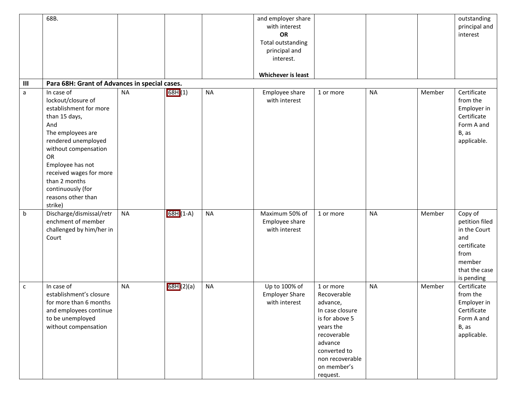|                | 68B.                                                                                                                                                                                                                                                                               |           |           |           | and employer share<br>with interest<br>OR<br><b>Total outstanding</b><br>principal and<br>interest.<br>Whichever is least |                                                                                                                                                                                |           |        | outstanding<br>principal and<br>interest                                                                         |
|----------------|------------------------------------------------------------------------------------------------------------------------------------------------------------------------------------------------------------------------------------------------------------------------------------|-----------|-----------|-----------|---------------------------------------------------------------------------------------------------------------------------|--------------------------------------------------------------------------------------------------------------------------------------------------------------------------------|-----------|--------|------------------------------------------------------------------------------------------------------------------|
| $\mathbf{III}$ | Para 68H: Grant of Advances in special cases.                                                                                                                                                                                                                                      |           |           |           |                                                                                                                           |                                                                                                                                                                                |           |        |                                                                                                                  |
| a              | In case of<br>lockout/closure of<br>establishment for more<br>than 15 days,<br>And<br>The employees are<br>rendered unemployed<br>without compensation<br>OR<br>Employee has not<br>received wages for more<br>than 2 months<br>continuously (for<br>reasons other than<br>strike) | <b>NA</b> | 68H (1)   | <b>NA</b> | Employee share<br>with interest                                                                                           | 1 or more                                                                                                                                                                      | <b>NA</b> | Member | Certificate<br>from the<br>Employer in<br>Certificate<br>Form A and<br>B, as<br>applicable.                      |
| b              | Discharge/dismissal/retr<br>enchment of member<br>challenged by him/her in<br>Court                                                                                                                                                                                                | <b>NA</b> | 68H (1-A) | <b>NA</b> | Maximum 50% of<br>Employee share<br>with interest                                                                         | 1 or more                                                                                                                                                                      | <b>NA</b> | Member | Copy of<br>petition filed<br>in the Court<br>and<br>certificate<br>from<br>member<br>that the case<br>is pending |
| $\mathsf{C}$   | In case of<br>establishment's closure<br>for more than 6 months<br>and employees continue<br>to be unemployed<br>without compensation                                                                                                                                              | <b>NA</b> | 68H(2)(a) | <b>NA</b> | Up to 100% of<br><b>Employer Share</b><br>with interest                                                                   | 1 or more<br>Recoverable<br>advance,<br>In case closure<br>is for above 5<br>years the<br>recoverable<br>advance<br>converted to<br>non recoverable<br>on member's<br>request. | <b>NA</b> | Member | Certificate<br>from the<br>Employer in<br>Certificate<br>Form A and<br>B, as<br>applicable.                      |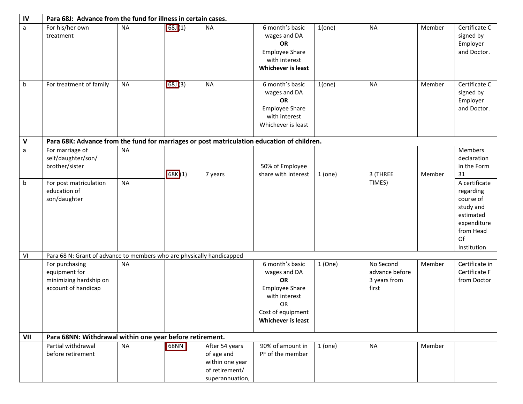| $\mathsf{IV}$ | Para 68J: Advance from the fund for illness in certain cases.                              |           |        |                                                                                      |                                                                                                                                                |         |                                                      |        |                                                                                                                    |
|---------------|--------------------------------------------------------------------------------------------|-----------|--------|--------------------------------------------------------------------------------------|------------------------------------------------------------------------------------------------------------------------------------------------|---------|------------------------------------------------------|--------|--------------------------------------------------------------------------------------------------------------------|
| a             | For his/her own<br>treatment                                                               | <b>NA</b> | 68J(1) | <b>NA</b>                                                                            | 6 month's basic<br>wages and DA<br><b>OR</b><br><b>Employee Share</b><br>with interest<br>Whichever is least                                   | 1(one)  | <b>NA</b>                                            | Member | Certificate C<br>signed by<br>Employer<br>and Doctor.                                                              |
| b             | For treatment of family                                                                    | <b>NA</b> | 68J(3) | <b>NA</b>                                                                            | 6 month's basic<br>wages and DA<br>OR<br><b>Employee Share</b><br>with interest<br>Whichever is least                                          | 1(one)  | <b>NA</b>                                            | Member | Certificate C<br>signed by<br>Employer<br>and Doctor.                                                              |
| V             | Para 68K: Advance from the fund for marriages or post matriculation education of children. |           |        |                                                                                      |                                                                                                                                                |         |                                                      |        |                                                                                                                    |
| a             | For marriage of<br>self/daughter/son/<br>brother/sister                                    | <b>NA</b> | 68K(1) | 7 years                                                                              | 50% of Employee<br>share with interest                                                                                                         | 1(one)  | 3 (THREE                                             | Member | <b>Members</b><br>declaration<br>in the Form<br>31                                                                 |
| b             | For post matriculation<br>education of<br>son/daughter                                     | <b>NA</b> |        |                                                                                      |                                                                                                                                                |         | TIMES)                                               |        | A certificate<br>regarding<br>course of<br>study and<br>estimated<br>expenditure<br>from Head<br>Of<br>Institution |
| VI            | Para 68 N: Grant of advance to members who are physically handicapped                      |           |        |                                                                                      |                                                                                                                                                |         |                                                      |        |                                                                                                                    |
|               | For purchasing<br>equipment for<br>minimizing hardship on<br>account of handicap           | <b>NA</b> |        |                                                                                      | 6 month's basic<br>wages and DA<br><b>OR</b><br><b>Employee Share</b><br>with interest<br>OR<br>Cost of equipment<br><b>Whichever is least</b> | 1(One)  | No Second<br>advance before<br>3 years from<br>first | Member | Certificate in<br>Certificate F<br>from Doctor                                                                     |
| VII           | Para 68NN: Withdrawal within one year before retirement.                                   |           |        |                                                                                      |                                                                                                                                                |         |                                                      |        |                                                                                                                    |
|               | Partial withdrawal<br>before retirement                                                    | <b>NA</b> | 68NN   | After 54 years<br>of age and<br>within one year<br>of retirement/<br>superannuation, | 90% of amount in<br>PF of the member                                                                                                           | 1 (one) | <b>NA</b>                                            | Member |                                                                                                                    |